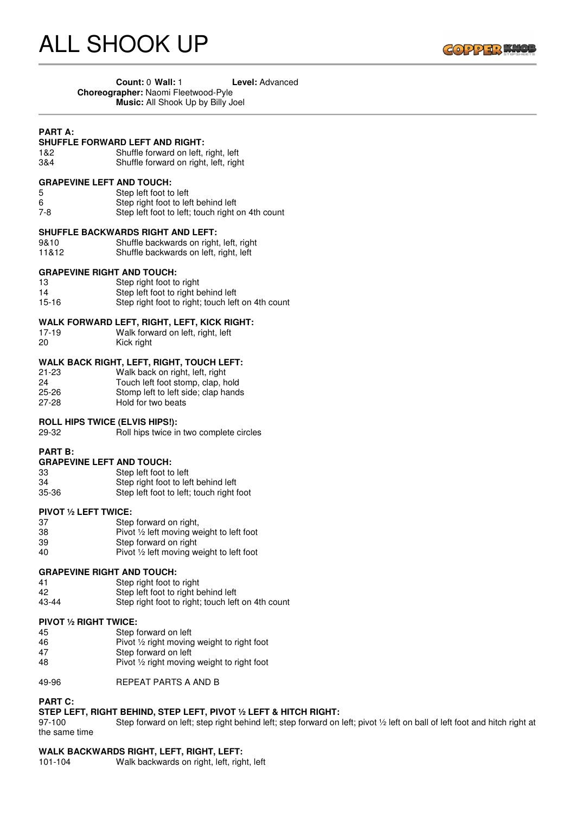

| Count: 0 Wall: 1                           | <b>Level:</b> Advanced |
|--------------------------------------------|------------------------|
| <b>Choreographer: Naomi Fleetwood-Pyle</b> |                        |
| <b>Music:</b> All Shook Up by Billy Joel   |                        |

## **PART A:**

# **SHUFFLE FORWARD LEFT AND RIGHT:**<br>1&2 Shuffle forward on left.

1&2 Shuffle forward on left, right, left<br>1884 Shuffle forward on right, left, right Shuffle forward on right, left, right

### **GRAPEVINE LEFT AND TOUCH:**

5 Step left foot to left<br>6 Step right foot to let Step right foot to left behind left 7-8 Step left foot to left; touch right on 4th count

#### **SHUFFLE BACKWARDS RIGHT AND LEFT:**

9&10 Shuffle backwards on right, left, right<br>11&12 Shuffle backwards on left, right, left Shuffle backwards on left, right, left

#### **GRAPEVINE RIGHT AND TOUCH:**

| 13    | Step right foot to right                          |
|-------|---------------------------------------------------|
| 14    | Step left foot to right behind left               |
| 15-16 | Step right foot to right; touch left on 4th count |

- 
- **WALK FORWARD LEFT, RIGHT, LEFT, KICK RIGHT:** 17-19 Walk forward on left, right, left<br>
20 Kick right Kick right

#### **WALK BACK RIGHT, LEFT, RIGHT, TOUCH LEFT:**

| $21 - 23$ | Walk back on right, left, right     |
|-----------|-------------------------------------|
| 24        | Touch left foot stomp, clap, hold   |
| $25 - 26$ | Stomp left to left side; clap hands |
| $27 - 28$ | Hold for two beats                  |

#### **ROLL HIPS TWICE (ELVIS HIPS!):**

29-32 Roll hips twice in two complete circles

#### **PART B:**

**GRAPEVINE LEFT AND TOUCH:**

| 33    | Step left foot to left                   |
|-------|------------------------------------------|
| 34    | Step right foot to left behind left      |
| 35-36 | Step left foot to left; touch right foot |

#### **PIVOT ½ LEFT TWICE:**

| 37 | Step forward on right,                              |
|----|-----------------------------------------------------|
| 38 | Pivot $\frac{1}{2}$ left moving weight to left foot |
| 39 | Step forward on right                               |
| 40 | Pivot $\frac{1}{2}$ left moving weight to left foot |

#### **GRAPEVINE RIGHT AND TOUCH:**

41 Step right foot to right<br>42 Step left foot to right b 42 Step left foot to right behind left<br>43-44 Step right foot to right: touch lef Step right foot to right; touch left on 4th count

#### **PIVOT ½ RIGHT TWICE:**

| 45 | Step forward on left                                  |
|----|-------------------------------------------------------|
| 46 | Pivot $\frac{1}{2}$ right moving weight to right foot |
| 47 | Step forward on left                                  |
| 48 | Pivot $\frac{1}{2}$ right moving weight to right foot |

49-96 REPEAT PARTS A AND B

# **PART C:**

# **STEP LEFT, RIGHT BEHIND, STEP LEFT, PIVOT ½ LEFT & HITCH RIGHT:**

97-100 Step forward on left; step right behind left; step forward on left; pivot 1/2 left on ball of left foot and hitch right at the same time

# **WALK BACKWARDS RIGHT, LEFT, RIGHT, LEFT:**

101-104 Walk backwards on right, left, right, left